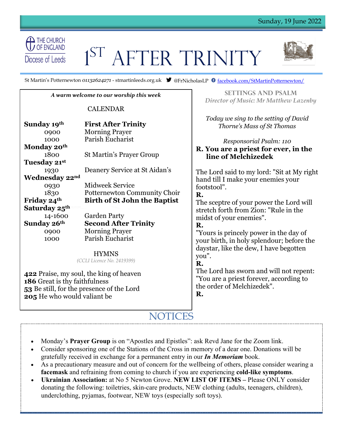

# 1 ST AFTER TRINITY



St Martin's Potternewton *01132624271* - stmartinleeds.org.uk  $\bullet$  @FrNicholasLP  $\bullet$  <u>facebook.com/StMartinPotternewton/</u>

#### *A warm welcome to our worship this week*

#### CALENDAR

| Sunday 19th               | <b>First After Trinity</b>          |
|---------------------------|-------------------------------------|
| 0900                      | <b>Morning Prayer</b>               |
| 1000                      | Parish Eucharist                    |
| Monday 20th               |                                     |
| 1800                      | <b>St Martin's Prayer Group</b>     |
| Tuesday 21st              |                                     |
| 1930                      | Deanery Service at St Aidan's       |
| Wednesday 22nd            |                                     |
| 0930                      | Midweek Service                     |
| 1830                      | Potternewton Community Choir        |
| Friday 24th               | <b>Birth of St John the Baptist</b> |
| Saturday 25 <sup>th</sup> |                                     |
| 14-1600                   | <b>Garden Party</b>                 |
| Sunday 26th               | <b>Second After Trinity</b>         |
| 0900                      | <b>Morning Prayer</b>               |
| 1000                      | Parish Eucharist                    |

HYMNS *(CCLI Licence No. 2419399)*

 Praise, my soul, the king of heaven Great is thy faithfulness Be still, for the presence of the Lord He who would valiant be

**Settings and psalm** *Director of Music: Mr Matthew Lazenby*

**s** *Today we sing to the setting of David Thorne's Mass of St Thomas*

*Responsorial Psalm: 110* **R. You are a priest for ever, in the line of Melchizedek**

The Lord said to my lord: "Sit at My right hand till I make your enemies your footstool".

### **R.**

The sceptre of your power the Lord will stretch forth from Zion: "Rule in the midst of your enemies".

# **R.**

"Yours is princely power in the day of your birth, in holy splendour; before the daystar, like the dew, I have begotten you".

# **R.**

The Lord has sworn and will not repent: "You are a priest forever, according to the order of Melchizedek". **R.**

# NOTICES

- Monday's **Prayer Group** is on "Apostles and Epistles": ask Revd Jane for the Zoom link.
- Consider sponsoring one of the Stations of the Cross in memory of a dear one. Donations will be gratefully received in exchange for a permanent entry in our *In Memoriam* book.
- As a precautionary measure and out of concern for the wellbeing of others, please consider wearing a **facemask** and refraining from coming to church if you are experiencing **cold-like symptoms**.
- **Ukrainian Association:** at No 5 Newton Grove. **NEW LIST OF ITEMS –** Please ONLY consider donating the following: toiletries, skin-care products, NEW clothing (adults, teenagers, children), underclothing, pyjamas, footwear, NEW toys (especially soft toys).